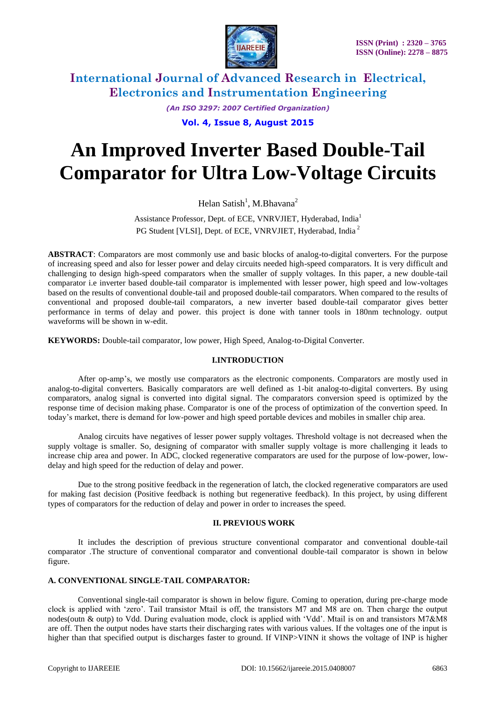

*(An ISO 3297: 2007 Certified Organization)* **Vol. 4, Issue 8, August 2015**

# **An Improved Inverter Based Double-Tail Comparator for Ultra Low-Voltage Circuits**

Helan Satish<sup>1</sup>, M.Bhavana<sup>2</sup>

Assistance Professor, Dept. of ECE, VNRVJIET, Hyderabad, India<sup>1</sup> PG Student [VLSI], Dept. of ECE, VNRVJIET, Hyderabad, India<sup>2</sup>

**ABSTRACT**: Comparators are most commonly use and basic blocks of analog-to-digital converters. For the purpose of increasing speed and also for lesser power and delay circuits needed high-speed comparators. It is very difficult and challenging to design high-speed comparators when the smaller of supply voltages. In this paper, a new double-tail comparator i.e inverter based double-tail comparator is implemented with lesser power, high speed and low-voltages based on the results of conventional double-tail and proposed double-tail comparators. When compared to the results of conventional and proposed double-tail comparators, a new inverter based double-tail comparator gives better performance in terms of delay and power. this project is done with tanner tools in 180nm technology. output waveforms will be shown in w-edit.

**KEYWORDS:** Double-tail comparator, low power, High Speed, Analog-to-Digital Converter.

## **I.INTRODUCTION**

After op-amp"s, we mostly use comparators as the electronic components. Comparators are mostly used in analog-to-digital converters. Basically comparators are well defined as 1-bit analog-to-digital converters. By using comparators, analog signal is converted into digital signal. The comparators conversion speed is optimized by the response time of decision making phase. Comparator is one of the process of optimization of the convertion speed. In today"s market, there is demand for low-power and high speed portable devices and mobiles in smaller chip area.

Analog circuits have negatives of lesser power supply voltages. Threshold voltage is not decreased when the supply voltage is smaller. So, designing of comparator with smaller supply voltage is more challenging it leads to increase chip area and power. In ADC, clocked regenerative comparators are used for the purpose of low-power, lowdelay and high speed for the reduction of delay and power.

Due to the strong positive feedback in the regeneration of latch, the clocked regenerative comparators are used for making fast decision (Positive feedback is nothing but regenerative feedback). In this project, by using different types of comparators for the reduction of delay and power in order to increases the speed.

#### **II. PREVIOUS WORK**

It includes the description of previous structure conventional comparator and conventional double-tail comparator .The structure of conventional comparator and conventional double-tail comparator is shown in below figure.

#### **A. CONVENTIONAL SINGLE-TAIL COMPARATOR:**

Conventional single-tail comparator is shown in below figure. Coming to operation, during pre-charge mode clock is applied with "zero". Tail transistor Mtail is off, the transistors M7 and M8 are on. Then charge the output nodes(outn & outp) to Vdd. During evaluation mode, clock is applied with "Vdd". Mtail is on and transistors M7&M8 are off. Then the output nodes have starts their discharging rates with various values. If the voltages one of the input is higher than that specified output is discharges faster to ground. If VINP>VINN it shows the voltage of INP is higher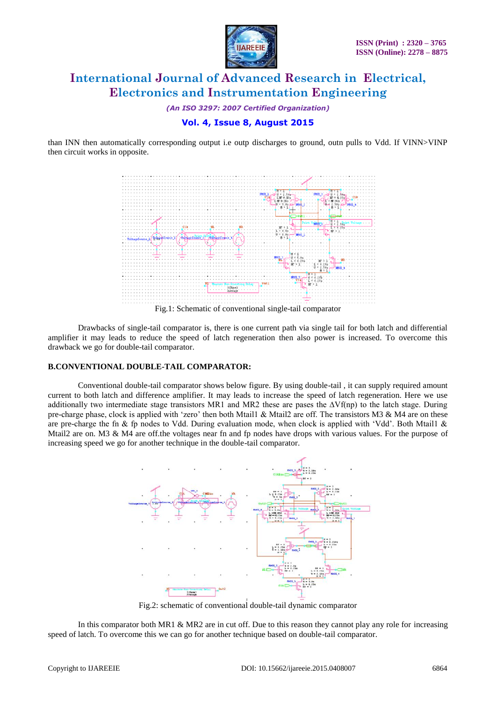

*(An ISO 3297: 2007 Certified Organization)*

## **Vol. 4, Issue 8, August 2015**

than INN then automatically corresponding output i.e outp discharges to ground, outn pulls to Vdd. If VINN>VINP then circuit works in opposite.



Drawbacks of single-tail comparator is, there is one current path via single tail for both latch and differential amplifier it may leads to reduce the speed of latch regeneration then also power is increased. To overcome this drawback we go for double-tail comparator.

#### **B.CONVENTIONAL DOUBLE-TAIL COMPARATOR:**

Conventional double-tail comparator shows below figure. By using double-tail , it can supply required amount current to both latch and difference amplifier. It may leads to increase the speed of latch regeneration. Here we use additionally two intermediate stage transistors MR1 and MR2 these are pases the ∆Vf(np) to the latch stage. During pre-charge phase, clock is applied with 'zero' then both Mtail1 & Mtail2 are off. The transistors M3 & M4 are on these are pre-charge the fn & fp nodes to Vdd. During evaluation mode, when clock is applied with 'Vdd'. Both Mtail1 & Mtail2 are on. M3 & M4 are off.the voltages near fn and fp nodes have drops with various values. For the purpose of increasing speed we go for another technique in the double-tail comparator.



Fig.2: schematic of conventional double-tail dynamic comparator

In this comparator both MR1 & MR2 are in cut off. Due to this reason they cannot play any role for increasing speed of latch. To overcome this we can go for another technique based on double-tail comparator.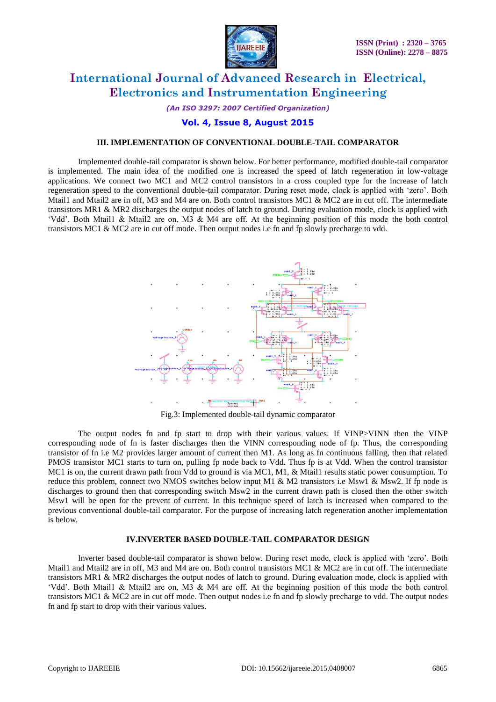

*(An ISO 3297: 2007 Certified Organization)*

### **Vol. 4, Issue 8, August 2015**

#### **III. IMPLEMENTATION OF CONVENTIONAL DOUBLE-TAIL COMPARATOR**

Implemented double-tail comparator is shown below. For better performance, modified double-tail comparator is implemented. The main idea of the modified one is increased the speed of latch regeneration in low-voltage applications. We connect two MC1 and MC2 control transistors in a cross coupled type for the increase of latch regeneration speed to the conventional double-tail comparator. During reset mode, clock is applied with "zero". Both Mtail1 and Mtail2 are in off, M3 and M4 are on. Both control transistors MC1 & MC2 are in cut off. The intermediate transistors MR1 & MR2 discharges the output nodes of latch to ground. During evaluation mode, clock is applied with "Vdd". Both Mtail1 & Mtail2 are on, M3 & M4 are off. At the beginning position of this mode the both control transistors MC1 & MC2 are in cut off mode. Then output nodes i.e fn and fp slowly precharge to vdd.



Fig.3: Implemented double-tail dynamic comparator

The output nodes fn and fp start to drop with their various values. If VINP>VINN then the VINP corresponding node of fn is faster discharges then the VINN corresponding node of fp. Thus, the corresponding transistor of fn i.e M2 provides larger amount of current then M1. As long as fn continuous falling, then that related PMOS transistor MC1 starts to turn on, pulling fp node back to Vdd. Thus fp is at Vdd. When the control transistor MC1 is on, the current drawn path from Vdd to ground is via MC1, M1, & Mtail1 results static power consumption. To reduce this problem, connect two NMOS switches below input M1 & M2 transistors i.e Msw1 & Msw2. If fp node is discharges to ground then that corresponding switch Msw2 in the current drawn path is closed then the other switch Msw1 will be open for the prevent of current. In this technique speed of latch is increased when compared to the previous conventional double-tail comparator. For the purpose of increasing latch regeneration another implementation is below.

#### **IV.INVERTER BASED DOUBLE-TAIL COMPARATOR DESIGN**

Inverter based double-tail comparator is shown below. During reset mode, clock is applied with "zero". Both Mtail1 and Mtail2 are in off, M3 and M4 are on. Both control transistors MC1 & MC2 are in cut off. The intermediate transistors MR1 & MR2 discharges the output nodes of latch to ground. During evaluation mode, clock is applied with "Vdd". Both Mtail1 & Mtail2 are on, M3 & M4 are off. At the beginning position of this mode the both control transistors MC1 & MC2 are in cut off mode. Then output nodes i.e fn and fp slowly precharge to vdd. The output nodes fn and fp start to drop with their various values.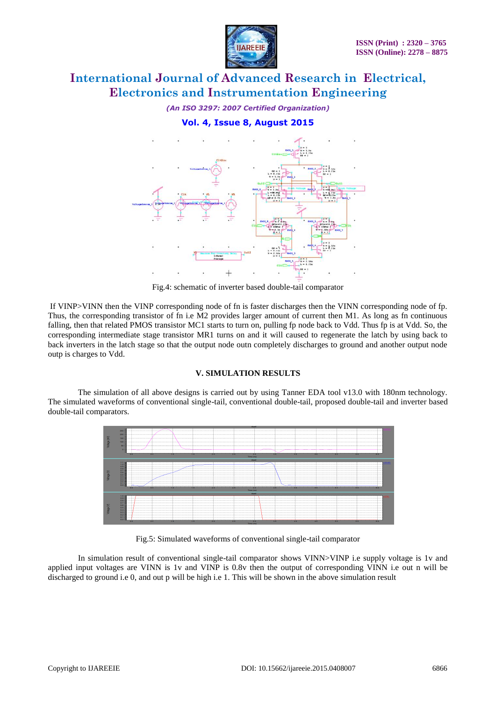

*(An ISO 3297: 2007 Certified Organization)*

**Vol. 4, Issue 8, August 2015**



Fig.4: schematic of inverter based double-tail comparator

If VINP>VINN then the VINP corresponding node of fn is faster discharges then the VINN corresponding node of fp. Thus, the corresponding transistor of fn i.e M2 provides larger amount of current then M1. As long as fn continuous falling, then that related PMOS transistor MC1 starts to turn on, pulling fp node back to Vdd. Thus fp is at Vdd. So, the corresponding intermediate stage transistor MR1 turns on and it will caused to regenerate the latch by using back to back inverters in the latch stage so that the output node outn completely discharges to ground and another output node outp is charges to Vdd.

#### **V. SIMULATION RESULTS**

The simulation of all above designs is carried out by using Tanner EDA tool v13.0 with 180nm technology. The simulated waveforms of conventional single-tail, conventional double-tail, proposed double-tail and inverter based double-tail comparators.



Fig.5: Simulated waveforms of conventional single-tail comparator

In simulation result of conventional single-tail comparator shows VINN>VINP i.e supply voltage is 1v and applied input voltages are VINN is 1v and VINP is 0.8v then the output of corresponding VINN i.e out n will be discharged to ground i.e 0, and out p will be high i.e 1. This will be shown in the above simulation result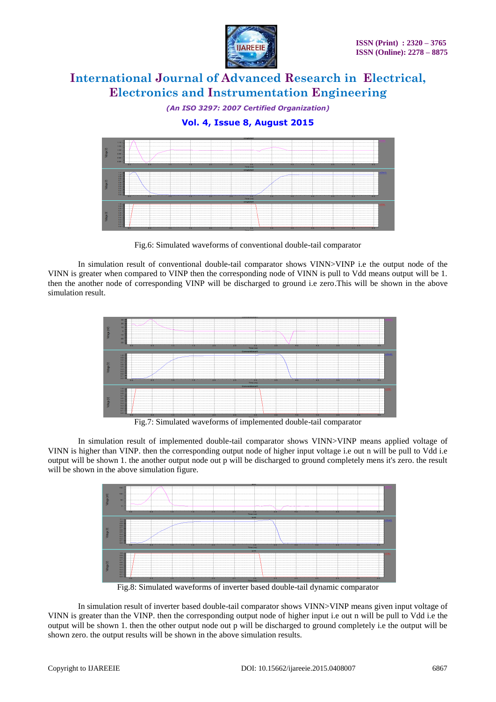

*(An ISO 3297: 2007 Certified Organization)*

**Vol. 4, Issue 8, August 2015**



Fig.6: Simulated waveforms of conventional double-tail comparator

In simulation result of conventional double-tail comparator shows VINN>VINP i.e the output node of the VINN is greater when compared to VINP then the corresponding node of VINN is pull to Vdd means output will be 1. then the another node of corresponding VINP will be discharged to ground i.e zero.This will be shown in the above simulation result.



Fig.7: Simulated waveforms of implemented double-tail comparator

In simulation result of implemented double-tail comparator shows VINN>VINP means applied voltage of VINN is higher than VINP. then the corresponding output node of higher input voltage i.e out n will be pull to Vdd i.e output will be shown 1. the another output node out p will be discharged to ground completely mens it's zero. the result will be shown in the above simulation figure.



Fig.8: Simulated waveforms of inverter based double-tail dynamic comparator

In simulation result of inverter based double-tail comparator shows VINN>VINP means given input voltage of VINN is greater than the VINP. then the corresponding output node of higher input i.e out n will be pull to Vdd i.e the output will be shown 1. then the other output node out p will be discharged to ground completely i.e the output will be shown zero. the output results will be shown in the above simulation results.